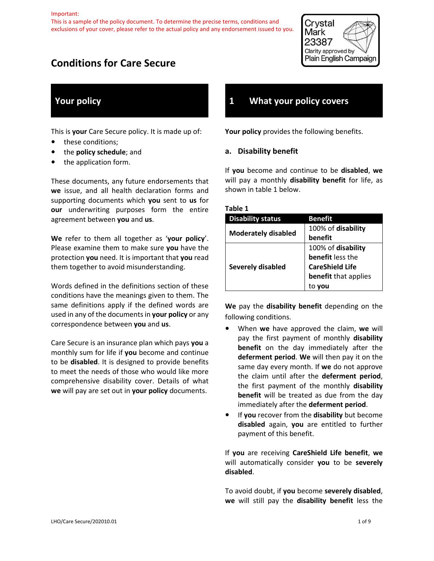This is a sample of the policy document. To determine the precise terms, conditions and exclusions of your cover, please refer to the actual policy and any endorsement issued to you.



# **Conditions for Care Secure**

# **Your policy**

This is **your** Care Secure policy. It is made up of:

- **•** these conditions;
- **•** the **policy schedule**; and
- **•** the application form.

These documents, any future endorsements that **we** issue, and all health declaration forms and supporting documents which **you** sent to **us** for **our** underwriting purposes form the entire agreement between **you** and **us**.

**We** refer to them all together as '**your policy**'. Please examine them to make sure **you** have the protection **you** need. It is important that **you** read them together to avoid misunderstanding.

Words defined in the definitions section of these conditions have the meanings given to them. The same definitions apply if the defined words are used in any of the documents in **your policy** or any correspondence between **you** and **us**.

Care Secure is an insurance plan which pays **you** a monthly sum for life if **you** become and continue to be **disabled**. It is designed to provide benefits to meet the needs of those who would like more comprehensive disability cover. Details of what **we** will pay are set out in **your policy** documents.

# **1 What your policy covers**

**Your policy** provides the following benefits.

### **a. Disability benefit**

If **you** become and continue to be **disabled**, **we**  will pay a monthly **disability benefit** for life, as shown in table 1 below.

| able |  |
|------|--|
|------|--|

| <b>Disability status</b>   | <b>Benefit</b>         |
|----------------------------|------------------------|
| <b>Moderately disabled</b> | 100% of disability     |
|                            | benefit                |
| <b>Severely disabled</b>   | 100% of disability     |
|                            | benefit less the       |
|                            | <b>CareShield Life</b> |
|                            | benefit that applies   |
|                            |                        |

**We** pay the **disability benefit** depending on the following conditions.

- **•** When **we** have approved the claim, **we** will pay the first payment of monthly **disability benefit** on the day immediately after the **deferment period**. **We** will then pay it on the same day every month. If **we** do not approve the claim until after the **deferment period**, the first payment of the monthly **disability benefit** will be treated as due from the day immediately after the **deferment period**.
- **•** If **you** recover from the **disability** but become **disabled** again, **you** are entitled to further payment of this benefit.

If **you** are receiving **CareShield Life benefit**, **we**  will automatically consider **you** to be **severely disabled**.

To avoid doubt, if **you** become **severely disabled**, **we** will still pay the **disability benefit** less the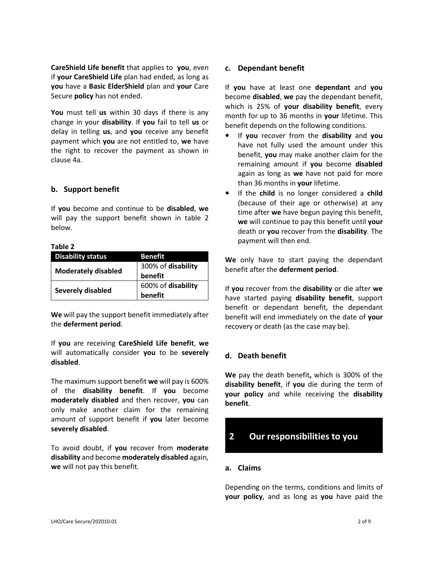**CareShield Life benefit** that applies to **you**, even if **your CareShield Life** plan had ended, as long as **you** have a **Basic ElderShield** plan and **your** Care Secure **policy** has not ended.

**You** must tell **us** within 30 days if there is any change in your **disability**. If **you** fail to tell **us** or delay in telling **us**, and **you** receive any benefit payment which **you** are not entitled to, **we** have the right to recover the payment as shown in clause 4a.

### **b. Support benefit**

If **you** become and continue to be **disabled**, **we**  will pay the support benefit shown in table 2 below.

#### **Table 2**

| <b>Disability status</b>   | Benefit            |
|----------------------------|--------------------|
| <b>Moderately disabled</b> | 300% of disability |
|                            | benefit            |
| Severely disabled          | 600% of disability |
|                            | benefit            |

**We** will pay the support benefit immediately after the **deferment period**.

If **you** are receiving **CareShield Life benefit**, **we**  will automatically consider **you** to be **severely disabled**.

The maximum support benefit **we** will pay is 600% of the **disability benefit**. If **you** become **moderately disabled** and then recover, **you** can only make another claim for the remaining amount of support benefit if **you** later become **severely disabled**.

To avoid doubt, if **you** recover from **moderate disability** and become **moderately disabled** again, **we** will not pay this benefit.

### **c. Dependant benefit**

If **you** have at least one **dependant** and **you**  become **disabled**, **we** pay the dependant benefit, which is 25% of **your disability benefit**, every month for up to 36 months in **your** lifetime. This benefit depends on the following conditions.

- **•** If **you** recover from the **disability** and **you**  have not fully used the amount under this benefit, **you** may make another claim for the remaining amount if **you** become **disabled**  again as long as **we** have not paid for more than 36 months in **your** lifetime.
- **•** If the **child** is no longer considered a **child**  (because of their age or otherwise) at any time after **we** have begun paying this benefit, **we** will continue to pay this benefit until **your**  death or **you** recover from the **disability**. The payment will then end.

**We** only have to start paying the dependant benefit after the **deferment period**.

If **you** recover from the **disability** or die after **we**  have started paying **disability benefit**, support benefit or dependant benefit, the dependant benefit will end immediately on the date of **your**  recovery or death (as the case may be).

### **d. Death benefit**

**We** pay the death benefit**,** which is 300% of the **disability benefit**, if **you** die during the term of **your policy** and while receiving the **disability benefit**.

# **2 Our responsibilities to you**

#### **a. Claims**

Depending on the terms, conditions and limits of **your policy**, and as long as **you** have paid the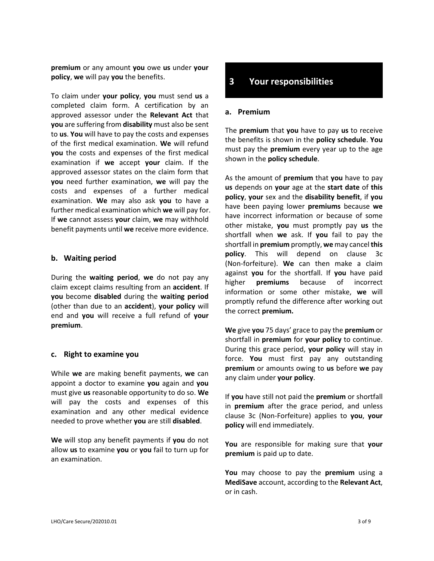**premium** or any amount **you** owe **us** under **your policy**, **we** will pay **you** the benefits.

To claim under **your policy**, **you** must send **us** a completed claim form. A certification by an approved assessor under the **Relevant Act** that **you** are suffering from **disability** must also be sent to **us**. **You** will have to pay the costs and expenses of the first medical examination. **We** will refund **you** the costs and expenses of the first medical examination if **we** accept **your** claim. If the approved assessor states on the claim form that **you** need further examination, **we** will pay the costs and expenses of a further medical examination. **We** may also ask **you** to have a further medical examination which **we** will pay for. If **we** cannot assess **your** claim, **we** may withhold benefit payments until **we** receive more evidence.

### **b. Waiting period**

During the **waiting period**, **we** do not pay any claim except claims resulting from an **accident**. If **you** become **disabled** during the **waiting period** (other than due to an **accident**), **your policy** will end and **you** will receive a full refund of **your premium**.

### **c. Right to examine you**

While **we** are making benefit payments, **we** can appoint a doctor to examine **you** again and **you**  must give **us** reasonable opportunity to do so. **We**  will pay the costs and expenses of this examination and any other medical evidence needed to prove whether **you** are still **disabled**.

**We** will stop any benefit payments if **you** do not allow **us** to examine **you** or **you** fail to turn up for an examination.

# **3 Your responsibilities**

#### **a. Premium**

The **premium** that **you** have to pay **us** to receive the benefits is shown in the **policy schedule**. **You**  must pay the **premium** every year up to the age shown in the **policy schedule**.

As the amount of **premium** that **you** have to pay **us** depends on **your** age at the **start date** of **this policy**, **your** sex and the **disability benefit**, if **you**  have been paying lower **premiums** because **we**  have incorrect information or because of some other mistake, **you** must promptly pay **us** the shortfall when **we** ask. If **you** fail to pay the shortfall in **premium** promptly, **we** may cancel **this policy**. This will depend on clause 3c (Non-forfeiture). **We** can then make a claim against **you** for the shortfall. If **you** have paid higher **premiums** because of incorrect information or some other mistake, **we** will promptly refund the difference after working out the correct **premium.**

**We** give **you** 75 days' grace to pay the **premium** or shortfall in **premium** for **your policy** to continue. During this grace period, **your policy** will stay in force. **You** must first pay any outstanding **premium** or amounts owing to **us** before **we** pay any claim under **your policy**.

If **you** have still not paid the **premium** or shortfall in **premium** after the grace period, and unless clause 3c (Non-Forfeiture) applies to **you**, **your policy** will end immediately.

**You** are responsible for making sure that **your premium** is paid up to date.

**You** may choose to pay the **premium** using a **MediSave** account, according to the **Relevant Act**, or in cash.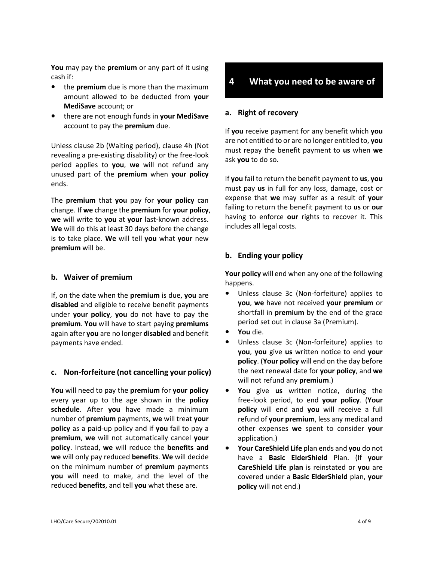**You** may pay the **premium** or any part of it using cash if:

- **•** the **premium** due is more than the maximum amount allowed to be deducted from **your MediSave** account; or
- **•** there are not enough funds in **your MediSave**  account to pay the **premium** due.

Unless clause 2b (Waiting period), clause 4h (Not revealing a pre-existing disability) or the free-look period applies to **you**, **we** will not refund any unused part of the **premium** when **your policy** ends.

The **premium** that **you** pay for **your policy** can change. If **we** change the **premium** for **your policy**, **we** will write to **you** at **your** last-known address. **We** will do this at least 30 days before the change is to take place. **We** will tell **you** what **your** new **premium** will be.

### **b. Waiver of premium**

If, on the date when the **premium** is due, **you** are **disabled** and eligible to receive benefit payments under **your policy**, **you** do not have to pay the **premium**. **You** will have to start paying **premiums**  again after **you** are no longer **disabled** and benefit payments have ended.

### **c. Non-forfeiture (not cancelling your policy)**

**You** will need to pay the **premium** for **your policy** every year up to the age shown in the **policy schedule**. After **you** have made a minimum number of **premium** payments, **we** will treat **your policy** as a paid-up policy and if **you** fail to pay a **premium**, **we** will not automatically cancel **your policy**. Instead, **we** will reduce the **benefits and we** will only pay reduced **benefits**. **We** will decide on the minimum number of **premium** payments **you** will need to make, and the level of the reduced **benefits**, and tell **you** what these are.

# **4 What you need to be aware of**

#### **a. Right of recovery**

If **you** receive payment for any benefit which **you**  are not entitled to or are no longer entitled to, **you**  must repay the benefit payment to **us** when **we**  ask **you** to do so.

If **you** fail to return the benefit payment to **us**, **you**  must pay **us** in full for any loss, damage, cost or expense that **we** may suffer as a result of **your**  failing to return the benefit payment to **us** or **our**  having to enforce **our** rights to recover it. This includes all legal costs.

### **b. Ending your policy**

**Your policy** will end when any one of the following happens.

- **•** Unless clause 3c (Non-forfeiture) applies to **you**, **we** have not received **your premium** or shortfall in **premium** by the end of the grace period set out in clause 3a (Premium).
- **• You** die.
- **•** Unless clause 3c (Non-forfeiture) applies to **you**, **you** give **us** written notice to end **your policy**. (**Your policy** will end on the day before the next renewal date for **your policy**, and **we** will not refund any **premium**.)
- **• You** give **us** written notice, during the free-look period, to end **your policy**. (**Your policy** will end and **you** will receive a full refund of **your premium**, less any medical and other expenses **we** spent to consider **your** application.)
- **• Your CareShield Life** plan ends and **you** do not have a **Basic ElderShield** Plan. (If **your CareShield Life plan** is reinstated or **you** are covered under a **Basic ElderShield** plan, **your policy** will not end.)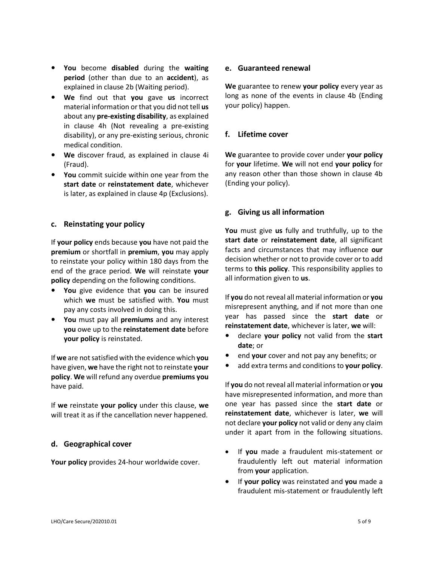- **• You** become **disabled** during the **waiting period** (other than due to an **accident**), as explained in clause 2b (Waiting period).
- **• We** find out that **you** gave **us** incorrect material information or that you did not tell **us** about any **pre-existing disability**, as explained in clause 4h (Not revealing a pre-existing disability), or any pre-existing serious, chronic medical condition.
- **• We** discover fraud, as explained in clause 4i (Fraud).
- **• You** commit suicide within one year from the **start date** or **reinstatement date**, whichever is later, as explained in clause 4p (Exclusions).

### **c. Reinstating your policy**

If **your policy** ends because **you** have not paid the **premium** or shortfall in **premium**, **you** may apply to reinstate your policy within 180 days from the end of the grace period. **We** will reinstate **your policy** depending on the following conditions.

- **• You** give evidence that **you** can be insured which **we** must be satisfied with. **You** must pay any costs involved in doing this.
- **• You** must pay all **premiums** and any interest **you** owe up to the **reinstatement date** before **your policy** is reinstated.

If **we** are not satisfied with the evidence which **you**  have given, **we** have the right not to reinstate **your policy**. **We** will refund any overdue **premiums you** have paid.

If **we** reinstate **your policy** under this clause, **we** will treat it as if the cancellation never happened.

### **d. Geographical cover**

**Your policy** provides 24-hour worldwide cover.

#### **e. Guaranteed renewal**

**We** guarantee to renew **your policy** every year as long as none of the events in clause 4b (Ending your policy) happen.

## **f. Lifetime cover**

**We** guarantee to provide cover under **your policy** for **your** lifetime. **We** will not end **your policy** for any reason other than those shown in clause 4b (Ending your policy).

### **g. Giving us all information**

**You** must give **us** fully and truthfully, up to the **start date** or **reinstatement date**, all significant facts and circumstances that may influence **our**  decision whether or not to provide cover or to add terms to **this policy**. This responsibility applies to all information given to **us**.

If **you** do not reveal all material information or **you**  misrepresent anything, and if not more than one year has passed since the **start date** or **reinstatement date**, whichever is later, **we** will:

- **•** declare **your policy** not valid from the **start date**; or
- **•** end **your** cover and not pay any benefits; or
- **•** add extra terms and conditions to **your policy**.

If **you** do not reveal all material information or **you**  have misrepresented information, and more than one year has passed since the **start date** or **reinstatement date**, whichever is later, **we** will not declare **your policy** not valid or deny any claim under it apart from in the following situations.

- If **you** made a fraudulent mis-statement or fraudulently left out material information from **your** application.
- If **your policy** was reinstated and **you** made a fraudulent mis-statement or fraudulently left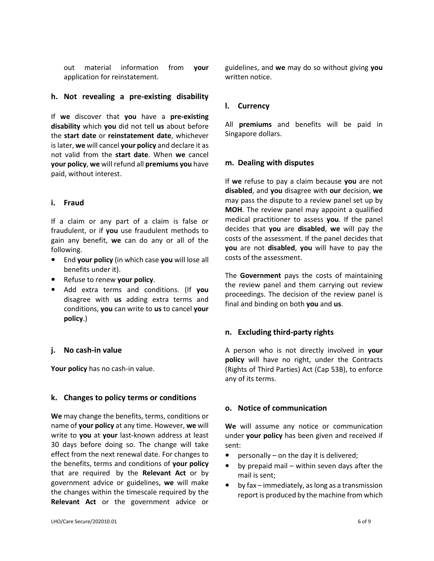out material information from **your**  application for reinstatement.

### **h. Not revealing a pre-existing disability**

If **we** discover that **you** have a **pre-existing disability** which **you** did not tell **us** about before the **start date** or **reinstatement date**, whichever is later, **we** will cancel **your policy** and declare it as not valid from the **start date**. When **we** cancel **your policy**, **we** will refund all **premiums you** have paid, without interest.

### **i. Fraud**

If a claim or any part of a claim is false or fraudulent, or if **you** use fraudulent methods to gain any benefit, **we** can do any or all of the following.

- **•** End **your policy** (in which case **you** will lose all benefits under it).
- **•** Refuse to renew **your policy**.
- **•** Add extra terms and conditions. (If **you**  disagree with **us** adding extra terms and conditions, **you** can write to **us** to cancel **your policy**.)

### **j. No cash-in value**

**Your policy** has no cash-in value.

#### **k. Changes to policy terms or conditions**

**We** may change the benefits, terms, conditions or name of **your policy** at any time. However, **we** will write to **you** at **your** last-known address at least 30 days before doing so. The change will take effect from the next renewal date. For changes to the benefits, terms and conditions of **your policy**  that are required by the **Relevant Act** or by government advice or guidelines, **we** will make the changes within the timescale required by the **Relevant Act** or the government advice or guidelines, and **we** may do so without giving **you** written notice.

#### **l. Currency**

All **premiums** and benefits will be paid in Singapore dollars.

#### **m. Dealing with disputes**

If **we** refuse to pay a claim because **you** are not **disabled**, and **you** disagree with **our** decision, **we**  may pass the dispute to a review panel set up by **MOH**. The review panel may appoint a qualified medical practitioner to assess **you**. If the panel decides that **you** are **disabled**, **we** will pay the costs of the assessment. If the panel decides that **you** are not **disabled**, **you** will have to pay the costs of the assessment.

The **Government** pays the costs of maintaining the review panel and them carrying out review proceedings. The decision of the review panel is final and binding on both **you** and **us**.

### **n. Excluding third-party rights**

A person who is not directly involved in **your policy** will have no right, under the Contracts (Rights of Third Parties) Act (Cap 53B), to enforce any of its terms.

### **o. Notice of communication**

**We** will assume any notice or communication under **your policy** has been given and received if sent:

- **•** personally on the day it is delivered;
- **•** by prepaid mail within seven days after the mail is sent;
- **•** by fax immediately, as long as a transmission report is produced by the machine from which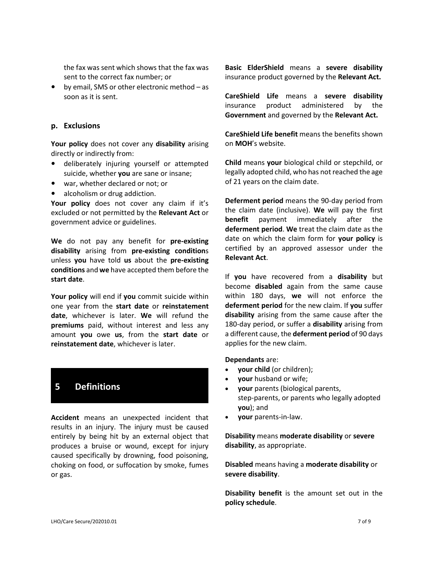the fax was sent which shows that the fax was sent to the correct fax number; or

**•** by email, SMS or other electronic method – as soon as it is sent.

#### **p. Exclusions**

**Your policy** does not cover any **disability** arising directly or indirectly from:

- **•** deliberately injuring yourself or attempted suicide, whether **you** are sane or insane;
- **•** war, whether declared or not; or
- **•** alcoholism or drug addiction.

**Your policy** does not cover any claim if it's excluded or not permitted by the **Relevant Act** or government advice or guidelines.

**We** do not pay any benefit for **pre-existing disability** arising from **pre-existing condition**s unless **you** have told **us** about the **pre-existing conditions** and **we** have accepted them before the **start date**.

**Your policy** will end if **you** commit suicide within one year from the **start date** or **reinstatement date**, whichever is later. **We** will refund the **premiums** paid, without interest and less any amount **you** owe **us**, from the **start date** or **reinstatement date**, whichever is later.

# **5 Definitions**

**Accident** means an unexpected incident that results in an injury. The injury must be caused entirely by being hit by an external object that produces a bruise or wound, except for injury caused specifically by drowning, food poisoning, choking on food, or suffocation by smoke, fumes or gas.

**Basic ElderShield** means a **severe disability**  insurance product governed by the **Relevant Act.**

**CareShield Life** means a **severe disability**  insurance product administered by the **Government** and governed by the **Relevant Act.**

**CareShield Life benefit** means the benefits shown on **MOH**'s website.

**Child** means **your** biological child or stepchild, or legally adopted child, who has not reached the age of 21 years on the claim date.

**Deferment period** means the 90-day period from the claim date (inclusive). **We** will pay the first **benefit** payment immediately after the **deferment period**. **We** treat the claim date as the date on which the claim form for **your policy** is certified by an approved assessor under the **Relevant Act**.

If **you** have recovered from a **disability** but become **disabled** again from the same cause within 180 days, **we** will not enforce the **deferment period** for the new claim. If **you** suffer **disability** arising from the same cause after the 180-day period, or suffer a **disability** arising from a different cause, the **deferment period** of 90 days applies for the new claim.

**Dependants** are:

- **your child** (or children);
- **your** husband or wife;
- **your** parents (biological parents, step-parents, or parents who legally adopted **you**); and
- **your** parents-in-law.

**Disability** means **moderate disability** or **severe disability**, as appropriate.

**Disabled** means having a **moderate disability** or **severe disability**.

**Disability benefit** is the amount set out in the **policy schedule**.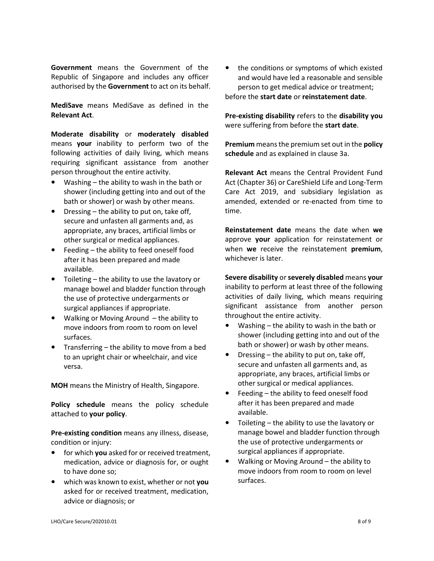**Government** means the Government of the Republic of Singapore and includes any officer authorised by the **Government** to act on its behalf.

**MediSave** means MediSave as defined in the **Relevant Act**.

**Moderate disability** or **moderately disabled**  means **your** inability to perform two of the following activities of daily living, which means requiring significant assistance from another person throughout the entire activity.

- **•** Washing the ability to wash in the bath or shower (including getting into and out of the bath or shower) or wash by other means.
- **•** Dressing the ability to put on, take off, secure and unfasten all garments and, as appropriate, any braces, artificial limbs or other surgical or medical appliances.
- **•** Feeding the ability to feed oneself food after it has been prepared and made available.
- **•** Toileting the ability to use the lavatory or manage bowel and bladder function through the use of protective undergarments or surgical appliances if appropriate.
- **•** Walking or Moving Around the ability to move indoors from room to room on level surfaces.
- **•** Transferring the ability to move from a bed to an upright chair or wheelchair, and vice versa.

**MOH** means the Ministry of Health, Singapore.

**Policy schedule** means the policy schedule attached to **your policy**.

**Pre-existing condition** means any illness, disease, condition or injury:

- **•** for which **you** asked for or received treatment, medication, advice or diagnosis for, or ought to have done so;
- **•** which was known to exist, whether or not **you**  asked for or received treatment, medication, advice or diagnosis; or

**•** the conditions or symptoms of which existed and would have led a reasonable and sensible person to get medical advice or treatment; before the **start date** or **reinstatement date**.

**Pre-existing disability** refers to the **disability you** were suffering from before the **start date**.

**Premium** means the premium set out in the **policy schedule** and as explained in clause 3a.

**Relevant Act** means the Central Provident Fund Act (Chapter 36) or CareShield Life and Long-Term Care Act 2019, and subsidiary legislation as amended, extended or re-enacted from time to time.

**Reinstatement date** means the date when **we**  approve **your** application for reinstatement or when **we** receive the reinstatement **premium**, whichever is later.

**Severe disability** or **severely disabled** means **your**  inability to perform at least three of the following activities of daily living, which means requiring significant assistance from another person throughout the entire activity.

- **•** Washing the ability to wash in the bath or shower (including getting into and out of the bath or shower) or wash by other means.
- **•** Dressing the ability to put on, take off, secure and unfasten all garments and, as appropriate, any braces, artificial limbs or other surgical or medical appliances.
- **•** Feeding the ability to feed oneself food after it has been prepared and made available.
- **•** Toileting the ability to use the lavatory or manage bowel and bladder function through the use of protective undergarments or surgical appliances if appropriate.
- **•** Walking or Moving Around the ability to move indoors from room to room on level surfaces.